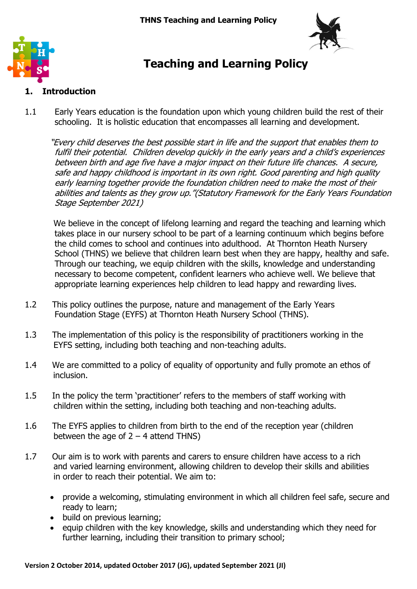



# **Teaching and Learning Policy**

# **1. Introduction**

1.1 Early Years education is the foundation upon which young children build the rest of their schooling. It is holistic education that encompasses all learning and development.

"Every child deserves the best possible start in life and the support that enables them to fulfil their potential. Children develop quickly in the early years and a child's experiences between birth and age five have a major impact on their future life chances. A secure, safe and happy childhood is important in its own right. Good parenting and high quality early learning together provide the foundation children need to make the most of their abilities and talents as they grow up."(Statutory Framework for the Early Years Foundation Stage September 2021)

We believe in the concept of lifelong learning and regard the teaching and learning which takes place in our nursery school to be part of a learning continuum which begins before the child comes to school and continues into adulthood. At Thornton Heath Nursery School (THNS) we believe that children learn best when they are happy, healthy and safe. Through our teaching, we equip children with the skills, knowledge and understanding necessary to become competent, confident learners who achieve well. We believe that appropriate learning experiences help children to lead happy and rewarding lives.

- 1.2 This policy outlines the purpose, nature and management of the Early Years Foundation Stage (EYFS) at Thornton Heath Nursery School (THNS).
- 1.3 The implementation of this policy is the responsibility of practitioners working in the EYFS setting, including both teaching and non-teaching adults.
- 1.4 We are committed to a policy of equality of opportunity and fully promote an ethos of inclusion.
- 1.5 In the policy the term 'practitioner' refers to the members of staff working with children within the setting, including both teaching and non-teaching adults.
- 1.6 The EYFS applies to children from birth to the end of the reception year (children between the age of  $2 - 4$  attend THNS)
- 1.7 Our aim is to work with parents and carers to ensure children have access to a rich and varied learning environment, allowing children to develop their skills and abilities in order to reach their potential. We aim to:
	- provide a welcoming, stimulating environment in which all children feel safe, secure and ready to learn;
	- build on previous learning;
	- equip children with the key knowledge, skills and understanding which they need for further learning, including their transition to primary school;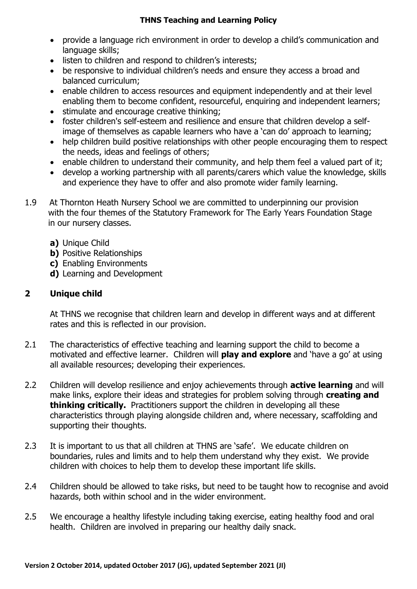#### **THNS Teaching and Learning Policy**

- provide a language rich environment in order to develop a child's communication and language skills;
- listen to children and respond to children's interests:
- be responsive to individual children's needs and ensure they access a broad and balanced curriculum;
- enable children to access resources and equipment independently and at their level enabling them to become confident, resourceful, enquiring and independent learners;
- stimulate and encourage creative thinking;
- foster children's self-esteem and resilience and ensure that children develop a selfimage of themselves as capable learners who have a 'can do' approach to learning;
- help children build positive relationships with other people encouraging them to respect the needs, ideas and feelings of others;
- enable children to understand their community, and help them feel a valued part of it;
- develop a working partnership with all parents/carers which value the knowledge, skills and experience they have to offer and also promote wider family learning.
- 1.9 At Thornton Heath Nursery School we are committed to underpinning our provision with the four themes of the Statutory Framework for The Early Years Foundation Stage in our nursery classes.
	- **a)** Unique Child
	- **b)** Positive Relationships
	- **c)** Enabling Environments
	- **d)** Learning and Development

## **2 Unique child**

At THNS we recognise that children learn and develop in different ways and at different rates and this is reflected in our provision.

- 2.1 The characteristics of effective teaching and learning support the child to become a motivated and effective learner. Children will **play and explore** and 'have a go' at using all available resources; developing their experiences.
- 2.2 Children will develop resilience and enjoy achievements through **active learning** and will make links, explore their ideas and strategies for problem solving through **creating and thinking critically.** Practitioners support the children in developing all these characteristics through playing alongside children and, where necessary, scaffolding and supporting their thoughts.
- 2.3 It is important to us that all children at THNS are 'safe'. We educate children on boundaries, rules and limits and to help them understand why they exist. We provide children with choices to help them to develop these important life skills.
- 2.4 Children should be allowed to take risks, but need to be taught how to recognise and avoid hazards, both within school and in the wider environment.
- 2.5 We encourage a healthy lifestyle including taking exercise, eating healthy food and oral health. Children are involved in preparing our healthy daily snack.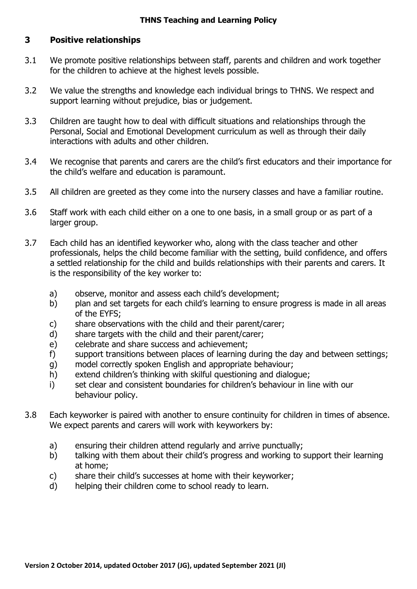## **3 Positive relationships**

- 3.1 We promote positive relationships between staff, parents and children and work together for the children to achieve at the highest levels possible.
- 3.2 We value the strengths and knowledge each individual brings to THNS. We respect and support learning without prejudice, bias or judgement.
- 3.3 Children are taught how to deal with difficult situations and relationships through the Personal, Social and Emotional Development curriculum as well as through their daily interactions with adults and other children.
- 3.4 We recognise that parents and carers are the child's first educators and their importance for the child's welfare and education is paramount.
- 3.5 All children are greeted as they come into the nursery classes and have a familiar routine.
- 3.6 Staff work with each child either on a one to one basis, in a small group or as part of a larger group.
- 3.7 Each child has an identified keyworker who, along with the class teacher and other professionals, helps the child become familiar with the setting, build confidence, and offers a settled relationship for the child and builds relationships with their parents and carers. It is the responsibility of the key worker to:
	- a) observe, monitor and assess each child's development;
	- b) plan and set targets for each child's learning to ensure progress is made in all areas of the EYFS;
	- c) share observations with the child and their parent/carer;
	- d) share targets with the child and their parent/carer;
	- e) celebrate and share success and achievement;
	- f) support transitions between places of learning during the day and between settings;
	- g) model correctly spoken English and appropriate behaviour;
	- h) extend children's thinking with skilful questioning and dialogue;
	- i) set clear and consistent boundaries for children's behaviour in line with our behaviour policy.
- 3.8 Each keyworker is paired with another to ensure continuity for children in times of absence. We expect parents and carers will work with keyworkers by:
	- a) ensuring their children attend regularly and arrive punctually;
	- b) talking with them about their child's progress and working to support their learning at home;
	- c) share their child's successes at home with their keyworker;
	- d) helping their children come to school ready to learn.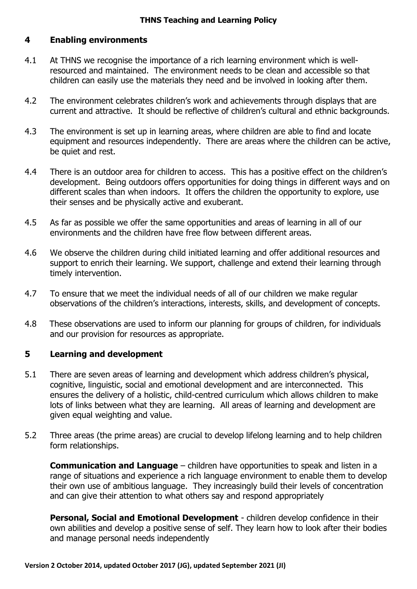## **4 Enabling environments**

- 4.1 At THNS we recognise the importance of a rich learning environment which is wellresourced and maintained. The environment needs to be clean and accessible so that children can easily use the materials they need and be involved in looking after them.
- 4.2 The environment celebrates children's work and achievements through displays that are current and attractive. It should be reflective of children's cultural and ethnic backgrounds.
- 4.3 The environment is set up in learning areas, where children are able to find and locate equipment and resources independently. There are areas where the children can be active, be quiet and rest.
- 4.4 There is an outdoor area for children to access. This has a positive effect on the children's development. Being outdoors offers opportunities for doing things in different ways and on different scales than when indoors. It offers the children the opportunity to explore, use their senses and be physically active and exuberant.
- 4.5 As far as possible we offer the same opportunities and areas of learning in all of our environments and the children have free flow between different areas.
- 4.6 We observe the children during child initiated learning and offer additional resources and support to enrich their learning. We support, challenge and extend their learning through timely intervention.
- 4.7 To ensure that we meet the individual needs of all of our children we make regular observations of the children's interactions, interests, skills, and development of concepts.
- 4.8 These observations are used to inform our planning for groups of children, for individuals and our provision for resources as appropriate.

# **5 Learning and development**

- 5.1 There are seven areas of learning and development which address children's physical, cognitive, linguistic, social and emotional development and are interconnected. This ensures the delivery of a holistic, child-centred curriculum which allows children to make lots of links between what they are learning. All areas of learning and development are given equal weighting and value.
- 5.2 Three areas (the prime areas) are crucial to develop lifelong learning and to help children form relationships.

**Communication and Language** – children have opportunities to speak and listen in a range of situations and experience a rich language environment to enable them to develop their own use of ambitious language. They increasingly build their levels of concentration and can give their attention to what others say and respond appropriately

**Personal, Social and Emotional Development** - children develop confidence in their own abilities and develop a positive sense of self. They learn how to look after their bodies and manage personal needs independently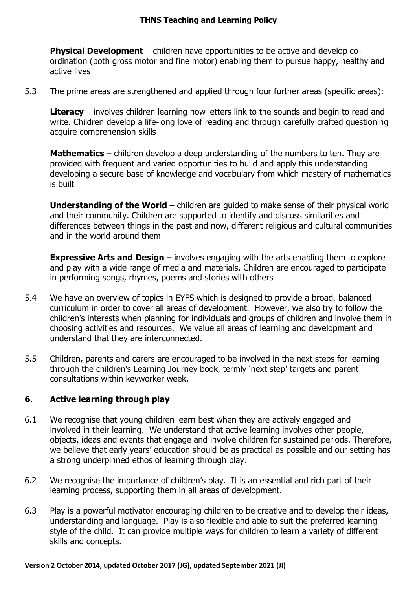**Physical Development** – children have opportunities to be active and develop coordination (both gross motor and fine motor) enabling them to pursue happy, healthy and active lives

5.3 The prime areas are strengthened and applied through four further areas (specific areas):

**Literacy** – involves children learning how letters link to the sounds and begin to read and write. Children develop a life-long love of reading and through carefully crafted questioning acquire comprehension skills

**Mathematics** – children develop a deep understanding of the numbers to ten. They are provided with frequent and varied opportunities to build and apply this understanding developing a secure base of knowledge and vocabulary from which mastery of mathematics is built

**Understanding of the World** – children are guided to make sense of their physical world and their community. Children are supported to identify and discuss similarities and differences between things in the past and now, different religious and cultural communities and in the world around them

**Expressive Arts and Design** – involves engaging with the arts enabling them to explore and play with a wide range of media and materials. Children are encouraged to participate in performing songs, rhymes, poems and stories with others

- 5.4 We have an overview of topics in EYFS which is designed to provide a broad, balanced curriculum in order to cover all areas of development. However, we also try to follow the children's interests when planning for individuals and groups of children and involve them in choosing activities and resources. We value all areas of learning and development and understand that they are interconnected.
- 5.5 Children, parents and carers are encouraged to be involved in the next steps for learning through the children's Learning Journey book, termly 'next step' targets and parent consultations within keyworker week.

# **6. Active learning through play**

- 6.1 We recognise that young children learn best when they are actively engaged and involved in their learning. We understand that active learning involves other people, objects, ideas and events that engage and involve children for sustained periods. Therefore, we believe that early years' education should be as practical as possible and our setting has a strong underpinned ethos of learning through play.
- 6.2 We recognise the importance of children's play. It is an essential and rich part of their learning process, supporting them in all areas of development.
- 6.3 Play is a powerful motivator encouraging children to be creative and to develop their ideas, understanding and language. Play is also flexible and able to suit the preferred learning style of the child. It can provide multiple ways for children to learn a variety of different skills and concepts.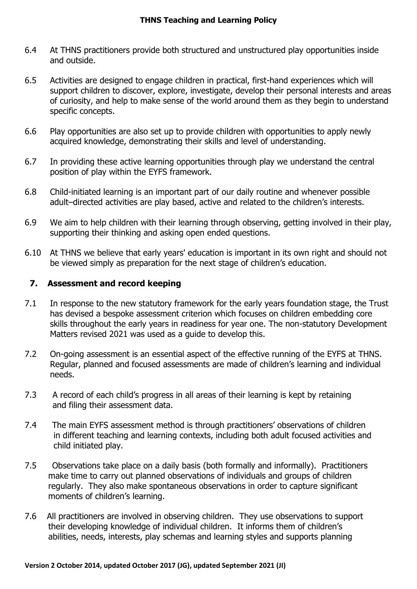- 6.4 At THNS practitioners provide both structured and unstructured play opportunities inside and outside.
- 6.5 Activities are designed to engage children in practical, first-hand experiences which will support children to discover, explore, investigate, develop their personal interests and areas of curiosity, and help to make sense of the world around them as they begin to understand specific concepts.
- 6.6 Play opportunities are also set up to provide children with opportunities to apply newly acquired knowledge, demonstrating their skills and level of understanding.
- 6.7 In providing these active learning opportunities through play we understand the central position of play within the EYFS framework.
- 6.8 Child-initiated learning is an important part of our daily routine and whenever possible adult–directed activities are play based, active and related to the children's interests.
- 6.9 We aim to help children with their learning through observing, getting involved in their play, supporting their thinking and asking open ended questions.
- 6.10 At THNS we believe that early years' education is important in its own right and should not be viewed simply as preparation for the next stage of children's education.

## **7. Assessment and record keeping**

- 7.1 In response to the new statutory framework for the early years foundation stage, the Trust has devised a bespoke assessment criterion which focuses on children embedding core skills throughout the early years in readiness for year one. The non-statutory Development Matters revised 2021 was used as a guide to develop this.
- 7.2 On-going assessment is an essential aspect of the effective running of the EYFS at THNS. Regular, planned and focused assessments are made of children's learning and individual needs.
- 7.3 A record of each child's progress in all areas of their learning is kept by retaining and filing their assessment data.
- 7.4 The main EYFS assessment method is through practitioners' observations of children in different teaching and learning contexts, including both adult focused activities and child initiated play.
- 7.5 Observations take place on a daily basis (both formally and informally). Practitioners make time to carry out planned observations of individuals and groups of children regularly. They also make spontaneous observations in order to capture significant moments of children's learning.
- 7.6 All practitioners are involved in observing children. They use observations to support their developing knowledge of individual children. It informs them of children's abilities, needs, interests, play schemas and learning styles and supports planning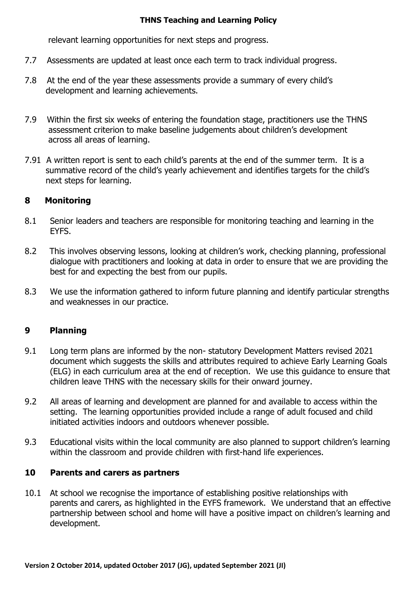#### **THNS Teaching and Learning Policy**

relevant learning opportunities for next steps and progress.

- 7.7 Assessments are updated at least once each term to track individual progress.
- 7.8 At the end of the year these assessments provide a summary of every child's development and learning achievements.
- 7.9 Within the first six weeks of entering the foundation stage, practitioners use the THNS assessment criterion to make baseline judgements about children's development across all areas of learning.
- 7.91 A written report is sent to each child's parents at the end of the summer term. It is a summative record of the child's yearly achievement and identifies targets for the child's next steps for learning.

## **8 Monitoring**

- 8.1 Senior leaders and teachers are responsible for monitoring teaching and learning in the EYFS.
- 8.2 This involves observing lessons, looking at children's work, checking planning, professional dialogue with practitioners and looking at data in order to ensure that we are providing the best for and expecting the best from our pupils.
- 8.3 We use the information gathered to inform future planning and identify particular strengths and weaknesses in our practice.

# **9 Planning**

- 9.1 Long term plans are informed by the non- statutory Development Matters revised 2021 document which suggests the skills and attributes required to achieve Early Learning Goals (ELG) in each curriculum area at the end of reception. We use this guidance to ensure that children leave THNS with the necessary skills for their onward journey.
- 9.2 All areas of learning and development are planned for and available to access within the setting. The learning opportunities provided include a range of adult focused and child initiated activities indoors and outdoors whenever possible.
- 9.3 Educational visits within the local community are also planned to support children's learning within the classroom and provide children with first-hand life experiences.

### **10 Parents and carers as partners**

10.1 At school we recognise the importance of establishing positive relationships with parents and carers, as highlighted in the EYFS framework. We understand that an effective partnership between school and home will have a positive impact on children's learning and development.